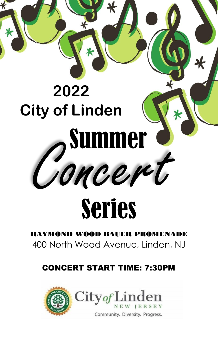# Concert **2022 City of Linden** Summer

# Series

RAYMOND WOOD BAUER PROMENADE 400 North Wood Avenue, Linden, NJ

## CONCERT START TIME: 7:30PM

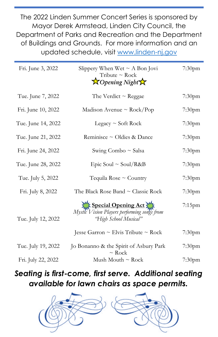The 2022 Linden Summer Concert Series is sponsored by Mayor Derek Armstead, Linden City Council, the Department of Parks and Recreation and the Department of Buildings and Grounds. For more information and an updated schedule, visit [www.linden-nj.gov](http://www.linden-nj.gov/)

| Fri. June 3, 2022  | Slippery When Wet $\sim$ A Bon Jovi<br>Tribute ~ Rock<br>$\bigtimes$ Opening Night                   | 7:30 <sub>pm</sub> |
|--------------------|------------------------------------------------------------------------------------------------------|--------------------|
| Tue. June 7, 2022  | The Verdict $\sim$ Reggae                                                                            | 7:30pm             |
| Fri. June 10, 2022 | Madison Avenue ~ $Rock/Pop$                                                                          | 7:30pm             |
| Tue. June 14, 2022 | Legacy $\sim$ Soft Rock                                                                              | 7:30 <sub>pm</sub> |
| Tue. June 21, 2022 | Reminisce ~ Oldies & Dance                                                                           | 7:30pm             |
| Fri. June 24, 2022 | Swing Combo $\sim$ Salsa                                                                             | 7:30pm             |
| Tue. June 28, 2022 | Epic Soul ~ Soul/R&B                                                                                 | 7:30pm             |
| Tue. July 5, 2022  | Tequila Rose $\sim$ Country                                                                          | 7:30 <sub>pm</sub> |
| Fri. July 8, 2022  | The Black Rose Band $\sim$ Classic Rock                                                              | 7:30 <sub>pm</sub> |
| Tue. July 12, 2022 | ME Special Opening Act 3 ME<br>Mystic Vision Players performing songs from<br>'High School Musical'' | 7:15pm             |
|                    | Jesse Garron $\sim$ Elvis Tribute $\sim$ Rock                                                        | 7:30 <sub>pm</sub> |
| Tue. July 19, 2022 | Jo Bonanno & the Spirit of Asbury Park<br>$\sim$ Rock                                                | 7:30 <sub>pm</sub> |
| Fri. July 22, 2022 | Mush Mouth $\sim$ Rock                                                                               | 7:30 <sub>pm</sub> |

### *Seating is first-come, first serve. Additional seating available for lawn chairs as space permits.*

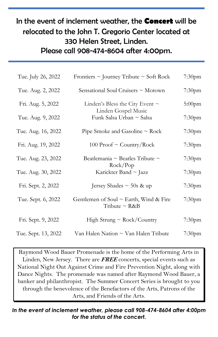#### In the event of inclement weather, the **Concert** will be relocated to the John T. Gregorio Center located at 330 Helen Street, Linden. Please call 908-474-8604 after 4:00pm.

| Tue. July 26, 2022  | Frontiers $\sim$ Journey Tribute $\sim$ Soft Rock                 | 7:30 <sub>pm</sub> |
|---------------------|-------------------------------------------------------------------|--------------------|
| Tue. Aug. 2, 2022   | Sensational Soul Cruisers ~ Motown                                | 7:30 <sub>pm</sub> |
| Fri. Aug. 5, 2022   | Linden's Bless the City Event $\sim$                              | $5:00$ pm          |
| Tue. Aug. 9, 2022   | Linden Gospel Music<br>Funk Salsa Urban ~ Salsa                   | 7:30 <sub>pm</sub> |
| Tue. Aug. 16, 2022  | Pipe Smoke and Gasoline $\sim$ Rock                               | 7:30 <sub>pm</sub> |
| Fri. Aug. 19, 2022  | 100 Proof $\sim$ Country/Rock                                     | 7:30 <sub>pm</sub> |
| Tue. Aug. 23, 2022  | Beatlemania ~ Beatles Tribute ~                                   | 7:30 <sub>pm</sub> |
| Tue. Aug. 30, 2022  | Rock/Pop<br>Karickter Band ~ Jazz                                 | 7:30pm             |
| Fri. Sept. 2, 2022  | Jersey Shades $\sim$ 50s & up                                     | 7:30 <sub>pm</sub> |
| Tue. Sept. 6, 2022  | Gentlemen of Soul $\sim$ Earth, Wind & Fire<br>Tribute $\sim$ R&B | 7:30 <sub>pm</sub> |
| Fri. Sept. 9, 2022  | High Strung $\sim$ Rock/Country                                   | 7:30 <sub>pm</sub> |
| Tue. Sept. 13, 2022 | Van Halen Nation ~ Van Halen Tribute                              | 7:30 <sub>pm</sub> |

Raymond Wood Bauer Promenade is the home of the Performing Arts in Linden, New Jersey. There are **FREE** concerts, special events such as National Night Out Against Crime and Fire Prevention Night, along with Dance Nights. The promenade was named after Raymond Wood Bauer, a banker and philanthropist. The Summer Concert Series is brought to you through the benevolence of the Benefactors of the Arts, Patrons of the Arts, and Friends of the Arts.

*In the event of inclement weather, please call 908-474-8604 after 4:00pm for the status of the concert.*